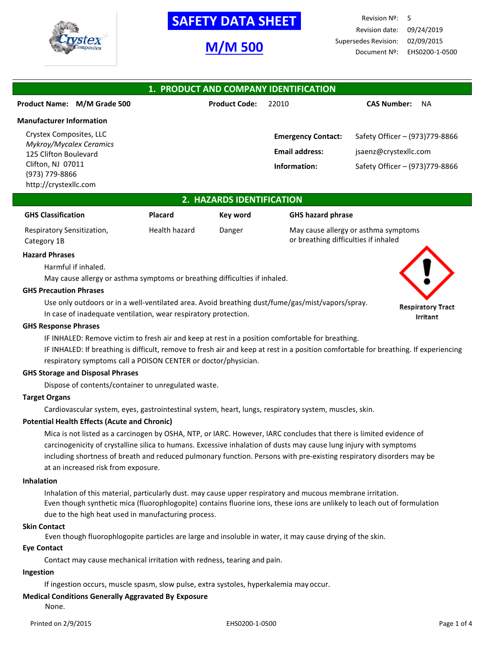

# **SAFETY DATA SHEET**

# **M/M 500**

Revision Nº: 5 Revision date: 09/24/2019 Supersedes Revision: 02/09/2015 Document Nº: EHS0200-1-0500

> **Respiratory Tract Irritant**

| 1. PRODUCT AND COMPANY IDENTIFICATION            |                      |                           |                                 |  |
|--------------------------------------------------|----------------------|---------------------------|---------------------------------|--|
| <b>Product Name:</b><br>M/M Grade 500            | <b>Product Code:</b> | 22010                     | <b>CAS Number:</b><br><b>NA</b> |  |
| <b>Manufacturer Information</b>                  |                      |                           |                                 |  |
| Crystex Composites, LLC                          |                      | <b>Emergency Contact:</b> | Safety Officer - (973)779-8866  |  |
| Mykroy/Mycalex Ceramics<br>125 Clifton Boulevard |                      | <b>Email address:</b>     | jsaenz@crystexllc.com           |  |
| Clifton, NJ 07011<br>(973) 779-8866              |                      | Information:              | Safety Officer - (973)779-8866  |  |
| http://crystexllc.com                            |                      |                           |                                 |  |

## **2. HAZARDS IDENTIFICATION**

| <b>GHS Classification</b>  | <b>Placard</b> | Key word | <b>GHS hazard phrase</b>             |
|----------------------------|----------------|----------|--------------------------------------|
| Respiratory Sensitization, | Health hazard  | Danger   | May cause allergy or asthma symptoms |
| Category 1B                |                |          | or breathing difficulties if inhaled |

#### **Hazard Phrases**

Harmful if inhaled.

May cause allergy or asthma symptoms or breathing difficulties if inhaled.

## **GHS Precaution Phrases**

Use only outdoors or in a well-ventilated area. Avoid breathing dust/fume/gas/mist/vapors/spray. In case of inadequate ventilation, wear respiratory protection.

#### **GHS Response Phrases**

IF INHALED: Remove victim to fresh air and keep at rest in a position comfortable for breathing.

IF INHALED: If breathing is difficult, remove to fresh air and keep at rest in a position comfortable for breathing. If experiencing respiratory symptoms call a POISON CENTER or doctor/physician.

#### **GHS Storage and Disposal Phrases**

Dispose of contents/container to unregulated waste.

## **Target Organs**

Cardiovascular system, eyes, gastrointestinal system, heart, lungs, respiratory system, muscles, skin.

## **Potential Health Effects (Acute and Chronic)**

Mica is not listed as a carcinogen by OSHA, NTP, or IARC. However, IARC concludes that there is limited evidence of carcinogenicity of crystalline silica to humans. Excessive inhalation of dusts may cause lung injury with symptoms including shortness of breath and reduced pulmonary function. Persons with pre-existing respiratory disorders may be at an increased risk from exposure.

#### **Inhalation**

Inhalation of this material, particularly dust. may cause upper respiratory and mucous membrane irritation. Even though synthetic mica (fluorophlogopite) contains fluorine ions, these ions are unlikely to leach out of formulation due to the high heat used in manufacturing process.

## **Skin Contact**

Even though fluorophlogopite particles are large and insoluble in water, it may cause drying of the skin.

## **Eye Contact**

Contact may cause mechanical irritation with redness, tearing and pain.

## **Ingestion**

If ingestion occurs, muscle spasm, slow pulse, extra systoles, hyperkalemia may occur.

## **Medical Conditions Generally Aggravated By Exposure**

None.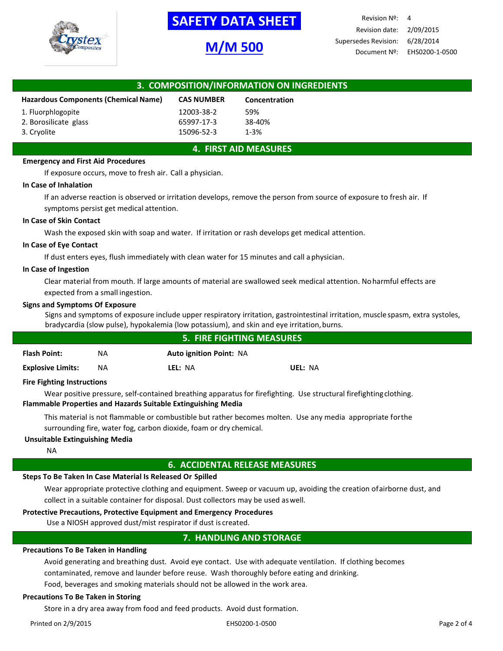

# **-SAFETY DATA SHEET-**

# **M/M 500**

| 3. COMPOSITION/INFORMATION ON INGREDIENTS   |                   |               |  |
|---------------------------------------------|-------------------|---------------|--|
| <b>Hazardous Components (Chemical Name)</b> | <b>CAS NUMBER</b> | Concentration |  |
| 1. Fluorphlogopite                          | 12003-38-2        | 59%           |  |
| 2. Borosilicate glass                       | 65997-17-3        | 38-40%        |  |
| 3. Cryolite                                 | 15096-52-3        | $1 - 3%$      |  |

## **4. FIRST AID MEASURES**

## **Emergency and First Aid Procedures**

If exposure occurs, move to fresh air. Call a physician.

#### **In Case of Inhalation**

If an adverse reaction is observed or irritation develops, remove the person from source of exposure to fresh air. If symptoms persist get medical attention.

#### **In Case of Skin Contact**

Wash the exposed skin with soap and water. If irritation or rash develops get medical attention.

#### **In Case of Eye Contact**

If dust enters eyes, flush immediately with clean water for 15 minutes and call aphysician.

#### **In Case of Ingestion**

Clear material from mouth. If large amounts of material are swallowed seek medical attention. Noharmful effects are expected from a small ingestion.

#### **Signs and Symptoms Of Exposure**

Signs and symptoms of exposure include upper respiratory irritation, gastrointestinal irritation, muscle spasm, extra systoles, bradycardia (slow pulse), hypokalemia (low potassium), and skin and eye irritation,burns.

| <b>5. FIRE FIGHTING MEASURES</b> |    |                                |         |
|----------------------------------|----|--------------------------------|---------|
| <b>Flash Point:</b>              | NA | <b>Auto ignition Point: NA</b> |         |
| <b>Explosive Limits:</b>         | NА | LEL: NA                        | UEL: NA |

## **Fire Fighting Instructions**

Wear positive pressure, self-contained breathing apparatus for firefighting. Use structural firefightingclothing. **Flammable Properties and Hazards Suitable Extinguishing Media**

This material is not flammable or combustible but rather becomes molten. Use any media appropriate forthe surrounding fire, water fog, carbon dioxide, foam or dry chemical.

## **Unsuitable Extinguishing Media**

NA

## **6. ACCIDENTAL RELEASE MEASURES**

## **Steps To Be Taken In Case Material Is Released Or Spilled**

Wear appropriate protective clothing and equipment. Sweep or vacuum up, avoiding the creation ofairborne dust, and collect in a suitable container for disposal. Dust collectors may be used aswell.

## **Protective Precautions, Protective Equipment and Emergency Procedures**

Use a NIOSH approved dust/mist respirator if dust is created.

# **7. HANDLING AND STORAGE**

## **Precautions To Be Taken in Handling**

Avoid generating and breathing dust. Avoid eye contact. Use with adequate ventilation. If clothing becomes contaminated, remove and launder before reuse. Wash thoroughly before eating and drinking.

Food, beverages and smoking materials should not be allowed in the work area.

## **Precautions To Be Taken in Storing**

Store in a dry area away from food and feed products. Avoid dust formation.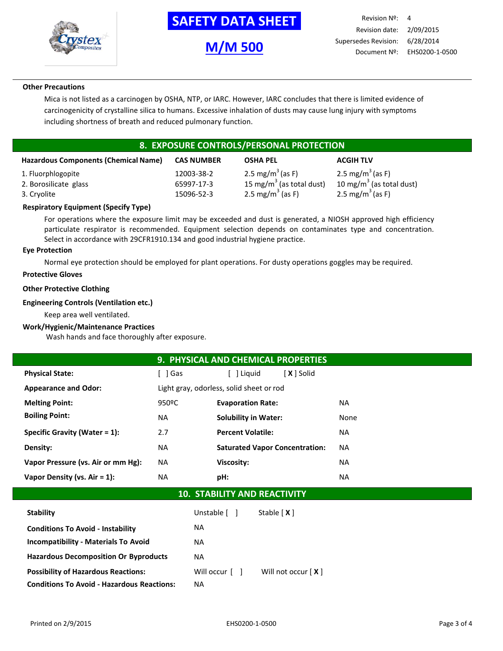

# **-SAFETY DATA SHEET-**

# **M/M 500**

## **Other Precautions**

Mica is not listed as a carcinogen by OSHA, NTP, or IARC. However, IARC concludes that there is limited evidence of carcinogenicity of crystalline silica to humans. Excessive inhalation of dusts may cause lung injury with symptoms including shortness of breath and reduced pulmonary function.

# **8. EXPOSURE CONTROLS/PERSONAL PROTECTION**

| <b>Hazardous Components (Chemical Name)</b> | <b>CAS NUMBER</b> | <b>OSHA PEL</b>              | <b>ACGIH TLV</b>             |
|---------------------------------------------|-------------------|------------------------------|------------------------------|
| 1. Fluorphlogopite                          | 12003-38-2        | 2.5 mg/m <sup>3</sup> (as F) | 2.5 mg/m <sup>3</sup> (as F) |
| 2. Borosilicate glass                       | 65997-17-3        | 15 mg/m $3$ (as total dust)  | 10 mg/m $3$ (as total dust)  |
| 3. Cryolite                                 | 15096-52-3        | 2.5 mg/m <sup>3</sup> (as F) | 2.5 mg/m <sup>3</sup> (as F) |

## **Respiratory Equipment (Specify Type)**

For operations where the exposure limit may be exceeded and dust is generated, a NIOSH approved high efficiency particulate respirator is recommended. Equipment selection depends on contaminates type and concentration. Select in accordance with 29CFR1910.134 and good industrial hygiene practice.

## **Eye Protection**

Normal eye protection should be employed for plant operations. For dusty operations goggles may be required.

## **Protective Gloves**

## **Other Protective Clothing**

## **Engineering Controls (Ventilation etc.)**

Keep area well ventilated.

## **Work/Hygienic/Maintenance Practices**

Wash hands and face thoroughly after exposure.

|                                              |           | 9. PHYSICAL AND CHEMICAL PROPERTIES      |           |  |
|----------------------------------------------|-----------|------------------------------------------|-----------|--|
| <b>Physical State:</b>                       | [ ]Gas    | [ <b>X</b> ] Solid<br>l Liguid           |           |  |
| <b>Appearance and Odor:</b>                  |           | Light gray, odorless, solid sheet or rod |           |  |
| <b>Melting Point:</b>                        | 950ºC     | <b>Evaporation Rate:</b>                 | <b>NA</b> |  |
| <b>Boiling Point:</b>                        | <b>NA</b> | <b>Solubility in Water:</b>              | None      |  |
| Specific Gravity (Water $= 1$ ):             | 2.7       | <b>Percent Volatile:</b>                 | <b>NA</b> |  |
| Density:                                     | <b>NA</b> | <b>Saturated Vapor Concentration:</b>    | <b>NA</b> |  |
| Vapor Pressure (vs. Air or mm Hg):           | <b>NA</b> | Viscosity:                               | <b>NA</b> |  |
| Vapor Density (vs. Air = 1):                 | <b>NA</b> | pH:                                      | NA.       |  |
| $AA$ $CFADII$ $TVI$ $ABID$ $DFA$ $TII$ $HTI$ |           |                                          |           |  |

## **10. STABILITY AND REACTIVITY**

| <b>Stability</b>                                  | Unstable [ ]                 | Stable $[X]$         |
|---------------------------------------------------|------------------------------|----------------------|
| <b>Conditions To Avoid - Instability</b>          | NA.                          |                      |
| <b>Incompatibility - Materials To Avoid</b>       | NA.                          |                      |
| <b>Hazardous Decomposition Or Byproducts</b>      | NA.                          |                      |
| <b>Possibility of Hazardous Reactions:</b>        | Will occur $\lceil$ $\rceil$ | Will not occur $[X]$ |
| <b>Conditions To Avoid - Hazardous Reactions:</b> | NA.                          |                      |